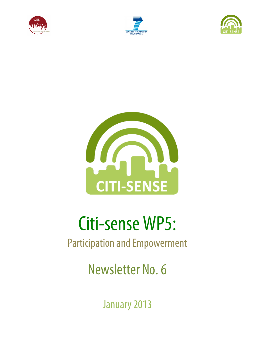







# Citi-sense WP5:

# Participation and Empowerment

Newsletter No. 6

January 2013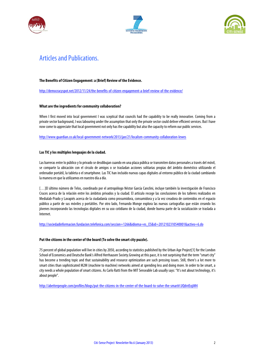





## Articles and Publications.

#### **The Benefits of Citizen Engagement: a (Brief) Review of the Evidence.**

http://democracyspot.net/2012/11/24/the-benefits-of-citizen-engagement-a-brief-review-of-the-evidence/

#### **What are the ingredients for community collaboration?**

When I first moved into local government I was sceptical that councils had the capability to be really innovative. Coming from a private sector background, I was labouring under the assumption that only the private sector could deliver efficient services. But I have now come to appreciate that local government not only has the capability but also the capacity to reform our public services.

http://www.guardian.co.uk/local-government-network/2013/jan/21/localism-community-collaboration-lewes

#### **Las TIC y los múltiples lenguajes de la ciudad.**

Las barreras entre lo público y lo privado se desdibujan cuando en una plaza pública se transmiten datos personales a través del móvil, se comparte la ubicación con el círculo de amigos o se trasladan acciones solitarias propias del ámbito doméstico utilizando el ordenador portátil, la tableta o el smartphone. Las TIC han incluido nuevas capas digitales al entorno público de la ciudad cambiando la manera en que la utilizamos en nuestro día a día.

[...]El último número de Telos, coordinado por el antropólogo Néstor García Canclini, incluye también la investigación de Francisco Cruces acerca de la relación entre los ámbitos privados y la ciudad. El artículo recoge las conclusiones de los talleres realizados en Medialab-Prado y Lavapiés acerca de la ciudadanía como prosumidora, consumidora y a la vez creadora de contenidos en el espacio público a partir de sus móviles y portátiles. Por otro lado, Fernando Monge explora las nuevas cartografías que están creando los jóvenes incorporando las tecnologías digitales en su uso cotidiano de la ciudad, donde buena parte de la socialización se traslada a Internet.

http://sociedadinformacion.fundacion.telefonica.com/seccion=1266&idioma=es\_ES&id=2012102310540001&activo=6.do

#### **Put the citizens in the center of the board (To solve the smart city puzzle).**

75 percent of global population will live in cities by 2050, according to statistics published by the Urban Age Project[1] for the London School of Economics and Deutsche Bank's Alfred Herrhausen Society.Growing at this pace, it is not surprising that the term "smart city" has become a trending topic and that sustainability and resource optimization are such pressing issues. Still, there's a lot more to smart cities than sophisticated M2M (machine to machine) networks aimed at spending less and doing more. In order to be smart, a city needs a whole population of smart citizens. As Carlo Ratti from the MIT Senseable Lab usually says: "It's not about technology, it's about people".

http://abetterpeople.com/profiles/blogs/put-the-citizens-in-the-center-of-the-board-to-solve-the-smart#.UQdvtEojiM4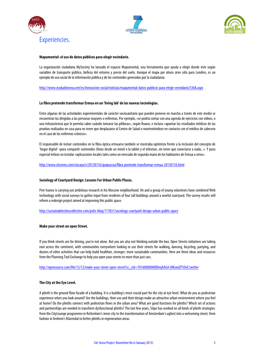





#### **Mapumental: el uso de datos públicos para elegir vecindario.**

La organización ciudadana MySociety ha lanzado el espacio Mapumental, una herramienta que ayuda a elegir donde vivir según variables de transporte público, belleza del entorno y precio del suelo. Aunque el mapa por ahora sirve sólo para Londres, es un ejemplo de uso social de la información pública y de los contenidos generados por la ciudadanía.

http://www.euskadinnova.net/es/innovacion-social/noticias/mapumental-datos-publicos-para-elegir-vecindario/5368.aspx

#### **La fibra pretende transformar Ermua en un 'living lab' de las nuevas tecnologías.**

Entre algunas de las actividades experimentales de carácter sociosanitario que pueden ponerse en marcha a través de este medio se encuentran las dirigidas a las personas mayores o enfermas. Por ejemplo, «se podría contar con una agenda de ejercicios con vídeos, o una teleasistencia que le permita saber cuándo tomarse las píldoras», según Ruano, e incluso «apuntar los resultados médicos de las pruebas realizadas en casa para no tener que desplazarse al Centro de Salud o manteniéndose en contacto con el médico de cabecera en el caso de los enfermos crónicos».

El responsable de incluir contenidos en la fibra óptica ermuarra también se mostraba optimista frente a la inclusión del concepto de 'hogar digital' «para compartir contenidos (fotos desde un móvil o la tablet y el televisor, sin tener que conectarse a nada...». Y puso especial énfasis en instalar «aplicaciones locales tales como un mercado de segunda mano de los habitantes de Ermua u otros».

http://www.elcorreo.com/vizcaya/v/20130116/guipuzcoa/fibra-pretende-transformar-ermua-20130116.html

#### **Sociology of Courtyard Design: Lessons For Urban Public Places.**

Petr Ivanov is carrying out ambitious research in his Moscow neighborhood. He and a group of young volunteers have combined Web technology with social surveys to gather input from residents of four tall buildings around a woeful courtyard. The survey results will inform a redesign project aimed at improving this public space.

http://sustainablecitiescollective.com/polis-blog/111831/sociology-courtyard-design-urban-public-space

#### **Make your street an open Street.**

If you think streets are for driving, you're not alone. But you are also not thinking outside the box. Open Streets initiatives are taking root across the continent, with communities everywhere looking to use their streets for walking, dancing, bicycling, partying, and dozens of other activities that can help build healthier, stronger, more sustainable communities. Here are three ideas and resources from the Planning Tool Exchange to help you open your streets to more than just cars.

http://opensource.com/life/12/12/make-your-street-open-street?sc\_cid=70160000000IDmjAAG#.UMso6ZP3OvE.twitter

#### **The City at the Eye Level.**

A plinth is the ground floor facade of a building. It is a building's most crucial part for the city at eye level. What do you as pedestrian experience when you look around? Are the buildings, their use and their design make an attractive urban environment where you feel at home? Do the plinths connect with pedestrian flows in the urban area? What are good functions for plinths? Which set of actions and partnerships are needed to transform dysfunctional plinths? The last few years, Stipo has worked on all kinds of plinth strategies: from the CityLounge programme in Rotterdam's inner city to the transformation of Amsterdam's ugliest into a welcoming street; from fashion in Arnhem's Klarendal to better plinths in regeneration areas.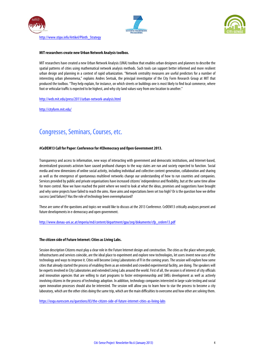





http://www.stipo.info/Artikel/Plinth\_Strategy

#### **MIT researchers create new Urban Network Analysis toolbox.**

MIT researchers have created a new Urban Network Analysis (UNA) toolbox that enables urban designers and planners to describe the spatial patterns of cities using mathematical network analysis methods. Such tools can support better informed and more resilient urban design and planning in a context of rapid urbanization. "Network centrality measures are useful predictors for a number of interesting urban phenomena," explains Andres Sevtsuk, the principal investigator of the City Form Research Group at MIT that produced the toolbox. "They help explain, for instance, on which streets or buildings one is most likely to find local commerce, where foot or vehicular traffic is expected to be highest, and why city land values vary from one location to another."

http://web.mit.edu/press/2011/urban-network-analysis.html

http://cityform.mit.edu/

### Congresses, Seminars, Courses, etc.

#### **#CeDEM13 Call for Paper: Conference for #EDemocracy and Open Government 2013.**

Transparency and access to information, new ways of interacting with government and democratic institutions, and Internet-based, decentralized grassroots activism have caused profound changes to the way states are run and society expected to function. Social media and new dimensions of online social activity, including individual and collective content generation, collaboration and sharing as well as the emergence of spontaneous multilevel networks change our understanding of how to run countries and companies. Services provided by public and private organisations have increased citizens' independence and flexibility, but at the same time allow for more control. Now we have reached the point where we need to look at what the ideas, promises and suggestions have brought and why some projects have failed to reach the aims. Have aims and expectations been set too high? Or is the question how we define success (and failure)? Has the role of technology been overemphasised?

These are some of the questions and topics we would like to discuss at the 2013 Conference. CeDEM13 critically analyses present and future developments in e-democracy and open government.

#### http://www.donau-uni.ac.at/imperia/md/content/department/gpa/zeg/dokumente/cfp\_cedem13.pdf

#### **The citizen side of Future Internet: Cities as Living Labs.**

Session description Citizens must play a clear role in the Future Internet design and construction. The cities as the place where people, infrastructures and services coincide, are the ideal place to experiment and explore new technologies, let users invent new uses of the technology and ways to improve it. Cities will become Living Laboratories of FI in the coming years. The session will explore how some cities that already started the process of enabling them as an extended and crowded experimental facility, are doing. The speakers will be experts involved in City Laboratories and extended Living Labs around the world. First of all, the session is of interest of city officials and innovation agencies that are willing to start programs to foster entrepreneurship and SMEs development as well as actively involving citizens in the process of technology adoption. In addition, technology companies interested in large scale testingand social open innovation processes should also be interested. The session will allow you to learn how to star the process to become a city laboratory, which are the other cities doing the same trip, which are the main difficulties to overcome and how other are solving them.

https://osqa.eurescom.eu/questions/83/the-citizen-side-of-future-internet-cities-as-living-labs